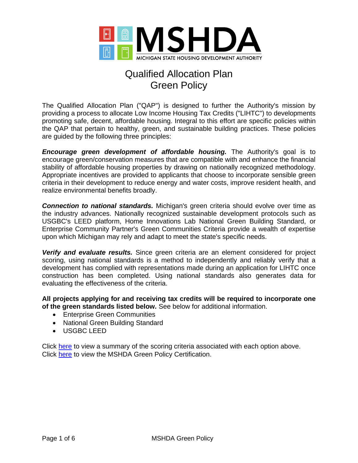

The Qualified Allocation Plan ("QAP") is designed to further the Authority's mission by providing a process to allocate Low Income Housing Tax Credits ("LIHTC") to developments promoting safe, decent, affordable housing. Integral to this effort are specific policies within the QAP that pertain to healthy, green, and sustainable building practices. These policies are guided by the following three principles:

*Encourage green development of affordable housing.* The Authority's goal is to encourage green/conservation measures that are compatible with and enhance the financial stability of affordable housing properties by drawing on nationally recognized methodology. Appropriate incentives are provided to applicants that choose to incorporate sensible green criteria in their development to reduce energy and water costs, improve resident health, and realize environmental benefits broadly.

*Connection to national standards.* Michigan's green criteria should evolve over time as the industry advances. Nationally recognized sustainable development protocols such as USGBC's LEED platform, Home Innovations Lab National Green Building Standard, or Enterprise Community Partner's Green Communities Criteria provide a wealth of expertise upon which Michigan may rely and adapt to meet the state's specific needs.

*Verify and evaluate results.* Since green criteria are an element considered for project scoring, using national standards is a method to independently and reliably verify that a development has complied with representations made during an application for LIHTC once construction has been completed. Using national standards also generates data for evaluating the effectiveness of the criteria.

**All projects applying for and receiving tax credits will be required to incorporate one of the green standards listed below.** See below for additional information.

- Enterprise Green Communities
- National Green Building Standard
- USGBC LEED

Click [here](#page-1-0) to view a summary of the scoring criteria associated with each option above. Click [here](#page-4-0) to view the MSHDA Green Policy Certification.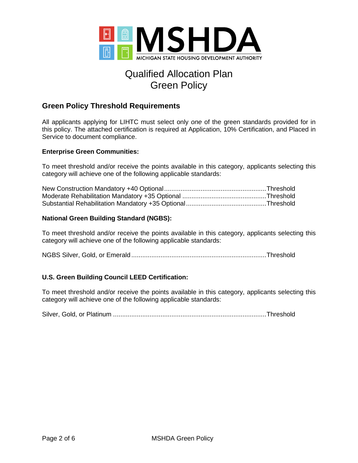

## <span id="page-1-0"></span>**Green Policy Threshold Requirements**

All applicants applying for LIHTC must select only *one* of the green standards provided for in this policy. The attached certification is required at Application, 10% Certification, and Placed in Service to document compliance.

#### **Enterprise Green Communities:**

To meet threshold and/or receive the points available in this category, applicants selecting this category will achieve one of the following applicable standards:

#### **National Green Building Standard (NGBS):**

To meet threshold and/or receive the points available in this category, applicants selecting this category will achieve one of the following applicable standards:

NGBS Silver, Gold, or Emerald ..........................................................................Threshold

### **U.S. Green Building Council LEED Certification:**

To meet threshold and/or receive the points available in this category, applicants selecting this category will achieve one of the following applicable standards:

Silver, Gold, or Platinum ....................................................................................Threshold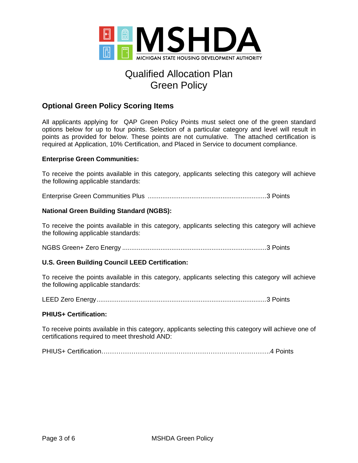

# **Optional Green Policy Scoring Items**

All applicants applying for QAP Green Policy Points must select one of the green standard options below for up to four points. Selection of a particular category and level will result in points as provided for below. These points are not cumulative. The attached certification is required at Application, 10% Certification, and Placed in Service to document compliance.

### **Enterprise Green Communities:**

To receive the points available in this category, applicants selecting this category will achieve the following applicable standards:

Enterprise Green Communities Plus .................................................................3 Points

### **National Green Building Standard (NGBS):**

To receive the points available in this category, applicants selecting this category will achieve the following applicable standards:

NGBS Green+ Zero Energy ...............................................................................3 Points

### **U.S. Green Building Council LEED Certification:**

To receive the points available in this category, applicants selecting this category will achieve the following applicable standards:

LEED Zero Energy.............................................................................................3 Points

#### **PHIUS+ Certification:**

To receive points available in this category, applicants selecting this category will achieve one of certifications required to meet threshold AND:

PHIUS+ Certification…………………………………………………………………….4 Points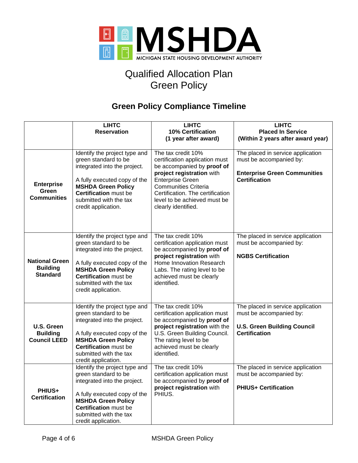

# **Green Policy Compliance Timeline**

|                                                             | <b>LIHTC</b><br><b>Reservation</b>                                                                                                                                                                                                  | <b>LIHTC</b><br>10% Certification<br>(1 year after award)                                                                                                                                                                                                            | <b>LIHTC</b><br><b>Placed In Service</b><br>(Within 2 years after award year)                                               |
|-------------------------------------------------------------|-------------------------------------------------------------------------------------------------------------------------------------------------------------------------------------------------------------------------------------|----------------------------------------------------------------------------------------------------------------------------------------------------------------------------------------------------------------------------------------------------------------------|-----------------------------------------------------------------------------------------------------------------------------|
| <b>Enterprise</b><br>Green<br><b>Communities</b>            | Identify the project type and<br>green standard to be<br>integrated into the project.<br>A fully executed copy of the<br><b>MSHDA Green Policy</b><br><b>Certification</b> must be<br>submitted with the tax<br>credit application. | The tax credit 10%<br>certification application must<br>be accompanied by proof of<br>project registration with<br><b>Enterprise Green</b><br><b>Communities Criteria</b><br>Certification. The certification<br>level to be achieved must be<br>clearly identified. | The placed in service application<br>must be accompanied by:<br><b>Enterprise Green Communities</b><br><b>Certification</b> |
| <b>National Green</b><br><b>Building</b><br><b>Standard</b> | Identify the project type and<br>green standard to be<br>integrated into the project.<br>A fully executed copy of the<br><b>MSHDA Green Policy</b><br><b>Certification</b> must be<br>submitted with the tax<br>credit application. | The tax credit 10%<br>certification application must<br>be accompanied by proof of<br>project registration with<br>Home Innovation Research<br>Labs. The rating level to be<br>achieved must be clearly<br>identified.                                               | The placed in service application<br>must be accompanied by:<br><b>NGBS Certification</b>                                   |
| U.S. Green<br><b>Building</b><br><b>Council LEED</b>        | Identify the project type and<br>green standard to be<br>integrated into the project.<br>A fully executed copy of the<br><b>MSHDA Green Policy</b><br><b>Certification</b> must be<br>submitted with the tax<br>credit application. | The tax credit 10%<br>certification application must<br>be accompanied by proof of<br>project registration with the<br>U.S. Green Building Council.<br>The rating level to be<br>achieved must be clearly<br>identified.                                             | The placed in service application<br>must be accompanied by:<br><b>U.S. Green Building Council</b><br><b>Certification</b>  |
| PHIUS+<br><b>Certification</b>                              | Identify the project type and<br>green standard to be<br>integrated into the project.<br>A fully executed copy of the<br><b>MSHDA Green Policy</b><br><b>Certification</b> must be<br>submitted with the tax<br>credit application. | The tax credit 10%<br>certification application must<br>be accompanied by proof of<br>project registration with<br>PHIUS.                                                                                                                                            | The placed in service application<br>must be accompanied by:<br><b>PHIUS+ Certification</b>                                 |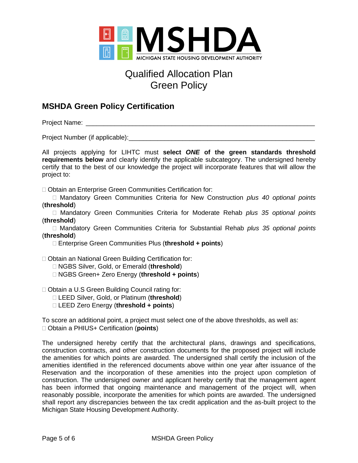

# <span id="page-4-0"></span>**MSHDA Green Policy Certification**

Project Name: \_\_\_\_\_\_\_\_\_\_\_\_\_\_\_\_\_\_\_\_\_\_\_\_\_\_\_\_\_\_\_\_\_\_\_\_\_\_\_\_\_\_\_\_\_\_\_\_\_\_\_\_\_\_\_\_\_\_\_\_\_\_\_\_

Project Number (if applicable):\_\_\_\_\_\_\_\_\_\_\_\_\_\_\_\_\_\_\_\_\_\_\_\_\_\_\_\_\_\_\_\_\_\_\_\_\_\_\_\_\_\_\_\_\_\_\_\_\_\_\_\_

All projects applying for LIHTC must **select** *ONE* **of the green standards threshold requirements below** and clearly identify the applicable subcategory. The undersigned hereby certify that to the best of our knowledge the project will incorporate features that will allow the project to:

Obtain an Enterprise Green Communities Certification for:

□ Mandatory Green Communities Criteria for New Construction *plus 40 optional points* (**threshold**)

□ Mandatory Green Communities Criteria for Moderate Rehab *plus 35 optional points* (**threshold**)

 Mandatory Green Communities Criteria for Substantial Rehab *plus 35 optional points* (**threshold**)

Enterprise Green Communities Plus (**threshold + points**)

□ Obtain an National Green Building Certification for:

NGBS Silver, Gold, or Emerald (**threshold**)

NGBS Green+ Zero Energy (**threshold + points**)

□ Obtain a U.S Green Building Council rating for:

LEED Silver, Gold, or Platinum (**threshold**)

LEED Zero Energy (**threshold + points**)

To score an additional point, a project must select one of the above thresholds, as well as: Obtain a PHIUS+ Certification (**points**)

The undersigned hereby certify that the architectural plans, drawings and specifications, construction contracts, and other construction documents for the proposed project will include the amenities for which points are awarded. The undersigned shall certify the inclusion of the amenities identified in the referenced documents above within one year after issuance of the Reservation and the incorporation of these amenities into the project upon completion of construction. The undersigned owner and applicant hereby certify that the management agent has been informed that ongoing maintenance and management of the project will, when reasonably possible, incorporate the amenities for which points are awarded. The undersigned shall report any discrepancies between the tax credit application and the as-built project to the Michigan State Housing Development Authority.